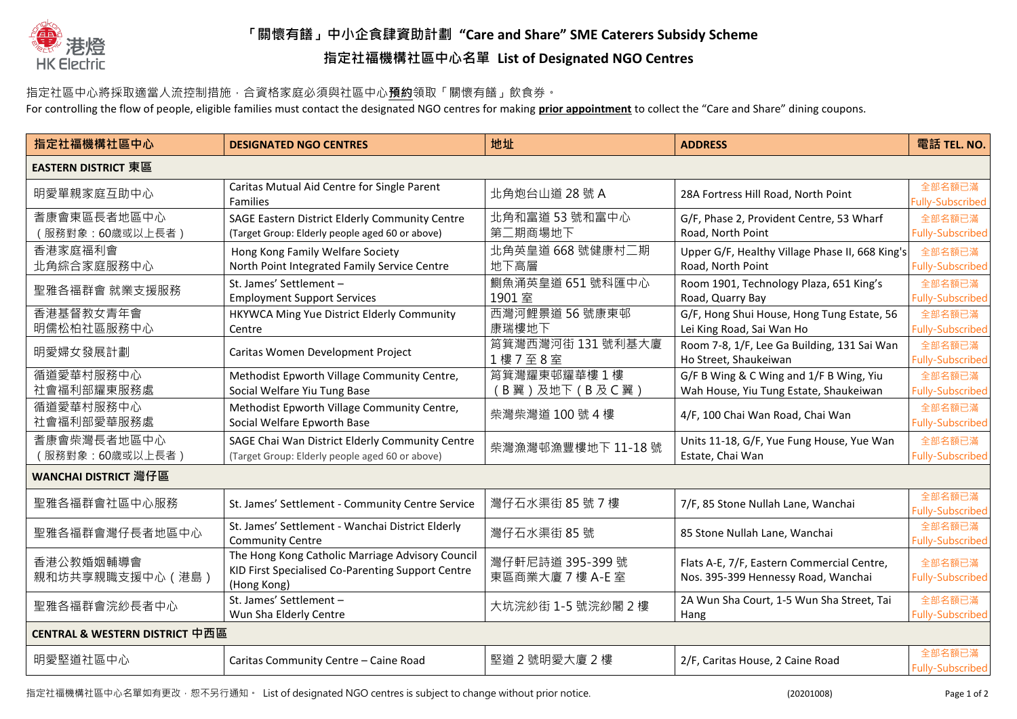

## **「關懷有饍」中小企食肆資助計劃 "Care and Share" SME Caterers Subsidy Scheme 指定社福機構社區中心名單 List of Designated NGO Centres**

## 指定社區中心將採取適當人流控制措施,合資格家庭必須與社區中心**預約**領取「關懷有饍」飲食券。

For controlling the flow of people, eligible families must contact the designated NGO centres for making **prior appointment** to collect the "Care and Share" dining coupons.

| 指定社福機構社區中心                                | <b>DESIGNATED NGO CENTRES</b>                                                                                        | 地址                                   | <b>ADDRESS</b>                                                                    | 電話 TEL. NO.                       |  |  |
|-------------------------------------------|----------------------------------------------------------------------------------------------------------------------|--------------------------------------|-----------------------------------------------------------------------------------|-----------------------------------|--|--|
| <b>EASTERN DISTRICT 東區</b>                |                                                                                                                      |                                      |                                                                                   |                                   |  |  |
| 明愛單親家庭互助中心                                | Caritas Mutual Aid Centre for Single Parent<br><b>Families</b>                                                       | 北角炮台山道 28 號 A                        | 28A Fortress Hill Road, North Point                                               | 全部名額已滿<br><b>Fully-Subscribed</b> |  |  |
| 耆康會東區長者地區中心<br>(服務對象:60歲或以上長者)            | SAGE Eastern District Elderly Community Centre<br>(Target Group: Elderly people aged 60 or above)                    | 北角和富道 53 號和富中心<br>第二期商場地下            | G/F, Phase 2, Provident Centre, 53 Wharf<br>Road, North Point                     | 全部名額已滿<br><b>Fully-Subscribed</b> |  |  |
| 香港家庭福利會<br>北角綜合家庭服務中心                     | Hong Kong Family Welfare Society<br>North Point Integrated Family Service Centre                                     | 北角英皇道 668 號健康村二期<br>地下高層             | Upper G/F, Healthy Village Phase II, 668 King's<br>Road, North Point              | 全部名額已滿<br><b>Fully-Subscribed</b> |  |  |
| 聖雅各福群會 就業支援服務                             | St. James' Settlement -<br><b>Employment Support Services</b>                                                        | 鰂魚涌英皇道 651 號科匯中心<br>1901室            | Room 1901, Technology Plaza, 651 King's<br>Road, Quarry Bay                       | 全部名額已滿<br><b>Fully-Subscribed</b> |  |  |
| 香港基督教女青年會<br>明儒松柏社區服務中心                   | HKYWCA Ming Yue District Elderly Community<br>Centre                                                                 | 西灣河鯉景道 56 號康東邨<br>康瑞樓地下              | G/F, Hong Shui House, Hong Tung Estate, 56<br>Lei King Road, Sai Wan Ho           | 全部名額已滿<br>Fully-Subscribed        |  |  |
| 明愛婦女發展計劃                                  | Caritas Women Development Project                                                                                    | 筲箕灣西灣河街 131號利基大廈<br>1樓7至8室           | Room 7-8, 1/F, Lee Ga Building, 131 Sai Wan<br>Ho Street, Shaukeiwan              | 全部名額已滿<br><b>Fully-Subscribed</b> |  |  |
| 循道愛華村服務中心<br>社會福利部耀東服務處                   | Methodist Epworth Village Community Centre,<br>Social Welfare Yiu Tung Base                                          | 筲箕灣耀東邨耀華樓1樓<br>B翼)及地下(B及C翼)          | G/F B Wing & C Wing and 1/F B Wing, Yiu<br>Wah House, Yiu Tung Estate, Shaukeiwan | 全部名額已滿<br><b>Fully-Subscribed</b> |  |  |
| 循道愛華村服務中心<br>社會福利部愛華服務處                   | Methodist Epworth Village Community Centre,<br>Social Welfare Epworth Base                                           | 柴灣柴灣道 100號4樓                         | 4/F, 100 Chai Wan Road, Chai Wan                                                  | 全部名額已滿<br><b>Fully-Subscribed</b> |  |  |
| 耆康會柴灣長者地區中心<br>(服務對象:60歲或以上長者)            | SAGE Chai Wan District Elderly Community Centre<br>(Target Group: Elderly people aged 60 or above)                   | 柴灣漁灣邨漁豐樓地下 11-18號                    | Units 11-18, G/F, Yue Fung House, Yue Wan<br>Estate, Chai Wan                     | 全部名額已滿<br><b>Fully-Subscribed</b> |  |  |
| WANCHAI DISTRICT 灣仔區                      |                                                                                                                      |                                      |                                                                                   |                                   |  |  |
| 聖雅各福群會社區中心服務                              | St. James' Settlement - Community Centre Service                                                                     | 灣仔石水渠街 85號 7樓                        | 7/F, 85 Stone Nullah Lane, Wanchai                                                | 全部名額已滿<br><b>Fully-Subscribed</b> |  |  |
| 聖雅各福群會灣仔長者地區中心                            | St. James' Settlement - Wanchai District Elderly<br><b>Community Centre</b>                                          | 灣仔石水渠街 85號                           | 85 Stone Nullah Lane, Wanchai                                                     | 全部名額已滿<br><b>Fully-Subscribed</b> |  |  |
| 香港公教婚姻輔導會<br>親和坊共享親職支援中心 (港島)             | The Hong Kong Catholic Marriage Advisory Council<br>KID First Specialised Co-Parenting Support Centre<br>(Hong Kong) | 灣仔軒尼詩道 395-399 號<br>東區商業大廈 7 樓 A-E 室 | Flats A-E, 7/F, Eastern Commercial Centre,<br>Nos. 395-399 Hennessy Road, Wanchai | 全部名額已滿<br><b>Fully-Subscribed</b> |  |  |
| 聖雅各福群會浣紗長者中心                              | St. James' Settlement -<br>Wun Sha Elderly Centre                                                                    | 大坑浣紗街 1-5 號浣紗閣 2 樓                   | 2A Wun Sha Court, 1-5 Wun Sha Street, Tai<br>Hang                                 | 全部名額已滿<br><b>Fully-Subscribed</b> |  |  |
| <b>CENTRAL &amp; WESTERN DISTRICT 中西區</b> |                                                                                                                      |                                      |                                                                                   |                                   |  |  |
| 明愛堅道社區中心                                  | Caritas Community Centre - Caine Road                                                                                | 堅道2號明愛大廈2樓                           | 2/F, Caritas House, 2 Caine Road                                                  | 全部名額已滿<br>Fully-Subscribed        |  |  |